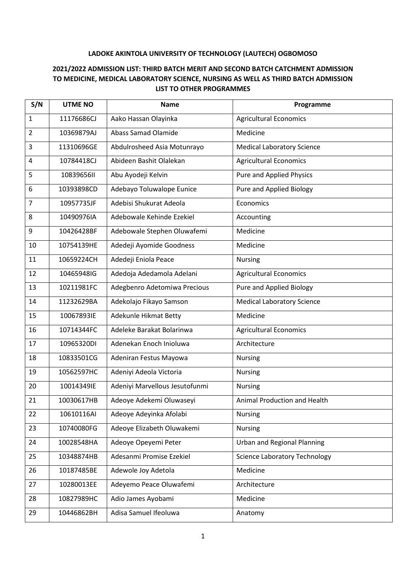## **LADOKE AKINTOLA UNIVERSITY OF TECHNOLOGY (LAUTECH) OGBOMOSO**

## **2021/2022 ADMISSION LIST: THIRD BATCH MERIT AND SECOND BATCH CATCHMENT ADMISSION TO MEDICINE, MEDICAL LABORATORY SCIENCE, NURSING AS WELL AS THIRD BATCH ADMISSION LIST TO OTHER PROGRAMMES**

| S/N            | <b>UTME NO</b> | <b>Name</b>                    | Programme                            |
|----------------|----------------|--------------------------------|--------------------------------------|
| 1              | 11176686CJ     | Aako Hassan Olayinka           | <b>Agricultural Economics</b>        |
| $\overline{2}$ | 10369879AJ     | <b>Abass Samad Olamide</b>     | Medicine                             |
| 3              | 11310696GE     | Abdulrosheed Asia Motunrayo    | <b>Medical Laboratory Science</b>    |
| $\overline{4}$ | 10784418CJ     | Abideen Bashit Olalekan        | <b>Agricultural Economics</b>        |
| 5              | 10839656II     | Abu Ayodeji Kelvin             | <b>Pure and Applied Physics</b>      |
| 6              | 10393898CD     | Adebayo Toluwalope Eunice      | Pure and Applied Biology             |
| $\overline{7}$ | 10957735JF     | Adebisi Shukurat Adeola        | Economics                            |
| 8              | 10490976IA     | Adebowale Kehinde Ezekiel      | Accounting                           |
| 9              | 10426428BF     | Adebowale Stephen Oluwafemi    | Medicine                             |
| 10             | 10754139HE     | Adedeji Ayomide Goodness       | Medicine                             |
| 11             | 10659224CH     | Adedeji Eniola Peace           | Nursing                              |
| 12             | 10465948IG     | Adedoja Adedamola Adelani      | <b>Agricultural Economics</b>        |
| 13             | 10211981FC     | Adegbenro Adetomiwa Precious   | Pure and Applied Biology             |
| 14             | 11232629BA     | Adekolajo Fikayo Samson        | <b>Medical Laboratory Science</b>    |
| 15             | 10067893IE     | Adekunle Hikmat Betty          | Medicine                             |
| 16             | 10714344FC     | Adeleke Barakat Bolarinwa      | <b>Agricultural Economics</b>        |
| 17             | 10965320DI     | Adenekan Enoch Inioluwa        | Architecture                         |
| 18             | 10833501CG     | Adeniran Festus Mayowa         | <b>Nursing</b>                       |
| 19             | 10562597HC     | Adeniyi Adeola Victoria        | <b>Nursing</b>                       |
| 20             | 10014349IE     | Adeniyi Marvellous Jesutofunmi | <b>Nursing</b>                       |
| 21             | 10030617HB     | Adeoye Adekemi Oluwaseyi       | Animal Production and Health         |
| 22             | 10610116AI     | Adeoye Adeyinka Afolabi        | <b>Nursing</b>                       |
| 23             | 10740080FG     | Adeoye Elizabeth Oluwakemi     | <b>Nursing</b>                       |
| 24             | 10028548HA     | Adeoye Opeyemi Peter           | <b>Urban and Regional Planning</b>   |
| 25             | 10348874HB     | Adesanmi Promise Ezekiel       | <b>Science Laboratory Technology</b> |
| 26             | 10187485BE     | Adewole Joy Adetola            | Medicine                             |
| 27             | 10280013EE     | Adeyemo Peace Oluwafemi        | Architecture                         |
| 28             | 10827989HC     | Adio James Ayobami             | Medicine                             |
| 29             | 10446862BH     | Adisa Samuel Ifeoluwa          | Anatomy                              |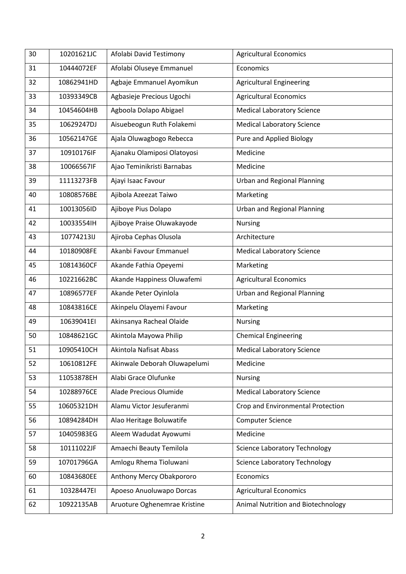| 30 | 10201621JC | Afolabi David Testimony      | <b>Agricultural Economics</b>        |
|----|------------|------------------------------|--------------------------------------|
| 31 | 10444072EF | Afolabi Oluseye Emmanuel     | Economics                            |
| 32 | 10862941HD | Agbaje Emmanuel Ayomikun     | <b>Agricultural Engineering</b>      |
| 33 | 10393349CB | Agbasieje Precious Ugochi    | <b>Agricultural Economics</b>        |
| 34 | 10454604HB | Agboola Dolapo Abigael       | <b>Medical Laboratory Science</b>    |
| 35 | 10629247DJ | Aisuebeogun Ruth Folakemi    | <b>Medical Laboratory Science</b>    |
| 36 | 10562147GE | Ajala Oluwagbogo Rebecca     | Pure and Applied Biology             |
| 37 | 10910176IF | Ajanaku Olamiposi Olatoyosi  | Medicine                             |
| 38 | 10066567IF | Ajao Teminikristi Barnabas   | Medicine                             |
| 39 | 11113273FB | Ajayi Isaac Favour           | <b>Urban and Regional Planning</b>   |
| 40 | 10808576BE | Ajibola Azeezat Taiwo        | Marketing                            |
| 41 | 10013056ID | Ajiboye Pius Dolapo          | <b>Urban and Regional Planning</b>   |
| 42 | 10033554IH | Ajiboye Praise Oluwakayode   | <b>Nursing</b>                       |
| 43 | 10774213IJ | Ajiroba Cephas Olusola       | Architecture                         |
| 44 | 10180908FE | Akanbi Favour Emmanuel       | <b>Medical Laboratory Science</b>    |
| 45 | 10814360CF | Akande Fathia Opeyemi        | Marketing                            |
| 46 | 10221662BC | Akande Happiness Oluwafemi   | <b>Agricultural Economics</b>        |
| 47 | 10896577EF | Akande Peter Oyinlola        | <b>Urban and Regional Planning</b>   |
| 48 | 10843816CE | Akinpelu Olayemi Favour      | Marketing                            |
| 49 | 10639041EI | Akinsanya Racheal Olaide     | <b>Nursing</b>                       |
| 50 | 10848621GC | Akintola Mayowa Philip       | <b>Chemical Engineering</b>          |
| 51 | 10905410CH | Akintola Nafisat Abass       | <b>Medical Laboratory Science</b>    |
| 52 | 10610812FE | Akinwale Deborah Oluwapelumi | Medicine                             |
| 53 | 11053878EH | Alabi Grace Olufunke         | <b>Nursing</b>                       |
| 54 | 10288976CE | Alade Precious Olumide       | <b>Medical Laboratory Science</b>    |
| 55 | 10605321DH | Alamu Victor Jesuferanmi     | Crop and Environmental Protection    |
| 56 | 10894284DH | Alao Heritage Boluwatife     | <b>Computer Science</b>              |
| 57 | 10405983EG | Aleem Wadudat Ayowumi        | Medicine                             |
| 58 | 10111022JF | Amaechi Beauty Temilola      | <b>Science Laboratory Technology</b> |
| 59 | 10701796GA | Amlogu Rhema Tioluwani       | <b>Science Laboratory Technology</b> |
| 60 | 10843680EE | Anthony Mercy Obakpororo     | Economics                            |
| 61 | 10328447EI | Apoeso Anuoluwapo Dorcas     | <b>Agricultural Economics</b>        |
| 62 | 10922135AB | Aruoture Oghenemrae Kristine | Animal Nutrition and Biotechnology   |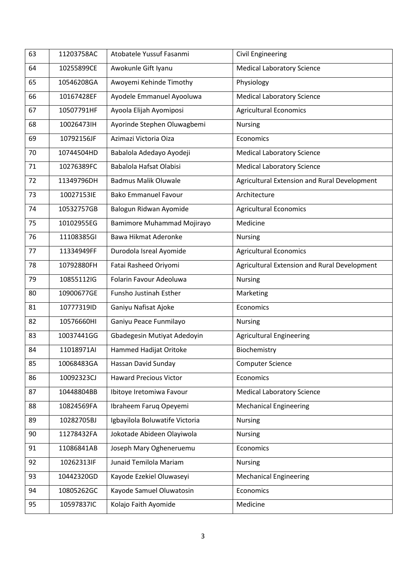| 63 | 11203758AC | Atobatele Yussuf Fasanmi       | <b>Civil Engineering</b>                     |
|----|------------|--------------------------------|----------------------------------------------|
| 64 | 10255899CE | Awokunle Gift Iyanu            | <b>Medical Laboratory Science</b>            |
| 65 | 10546208GA | Awoyemi Kehinde Timothy        | Physiology                                   |
| 66 | 10167428EF | Ayodele Emmanuel Ayooluwa      | <b>Medical Laboratory Science</b>            |
| 67 | 10507791HF | Ayoola Elijah Ayomiposi        | <b>Agricultural Economics</b>                |
| 68 | 10026473IH | Ayorinde Stephen Oluwagbemi    | <b>Nursing</b>                               |
| 69 | 10792156JF | Azimazi Victoria Oiza          | Economics                                    |
| 70 | 10744504HD | Babalola Adedayo Ayodeji       | <b>Medical Laboratory Science</b>            |
| 71 | 10276389FC | Babalola Hafsat Olabisi        | <b>Medical Laboratory Science</b>            |
| 72 | 11349796DH | <b>Badmus Malik Oluwale</b>    | Agricultural Extension and Rural Development |
| 73 | 10027153IE | <b>Bako Emmanuel Favour</b>    | Architecture                                 |
| 74 | 10532757GB | Balogun Ridwan Ayomide         | <b>Agricultural Economics</b>                |
| 75 | 10102955EG | Bamimore Muhammad Mojirayo     | Medicine                                     |
| 76 | 11108385GI | <b>Bawa Hikmat Aderonke</b>    | <b>Nursing</b>                               |
| 77 | 11334949FF | Durodola Isreal Ayomide        | <b>Agricultural Economics</b>                |
| 78 | 10792880FH | Fatai Rasheed Oriyomi          | Agricultural Extension and Rural Development |
| 79 | 10855112IG | Folarin Favour Adeoluwa        | <b>Nursing</b>                               |
| 80 | 10900677GE | Funsho Justinah Esther         | Marketing                                    |
| 81 | 10777319ID | Ganiyu Nafisat Ajoke           | Economics                                    |
| 82 | 10576660HI | Ganiyu Peace Funmilayo         | <b>Nursing</b>                               |
| 83 | 10037441GG | Gbadegesin Mutiyat Adedoyin    | <b>Agricultural Engineering</b>              |
| 84 | 11018971AI | Hammed Hadijat Oritoke         | Biochemistry                                 |
| 85 | 10068483GA | Hassan David Sunday            | <b>Computer Science</b>                      |
| 86 | 10092323CJ | <b>Haward Precious Victor</b>  | Economics                                    |
| 87 | 10448804BB | Ibitoye Iretomiwa Favour       | <b>Medical Laboratory Science</b>            |
| 88 | 10824569FA | Ibraheem Faruq Opeyemi         | <b>Mechanical Engineering</b>                |
| 89 | 10282705BJ | Igbayilola Boluwatife Victoria | <b>Nursing</b>                               |
| 90 | 11278432FA | Jokotade Abideen Olayiwola     | <b>Nursing</b>                               |
| 91 | 11086841AB | Joseph Mary Ogheneruemu        | Economics                                    |
| 92 | 10262313IF | Junaid Temilola Mariam         | <b>Nursing</b>                               |
| 93 | 10442320GD | Kayode Ezekiel Oluwaseyi       | <b>Mechanical Engineering</b>                |
| 94 | 10805262GC | Kayode Samuel Oluwatosin       | Economics                                    |
| 95 | 10597837IC | Kolajo Faith Ayomide           | Medicine                                     |
|    |            |                                |                                              |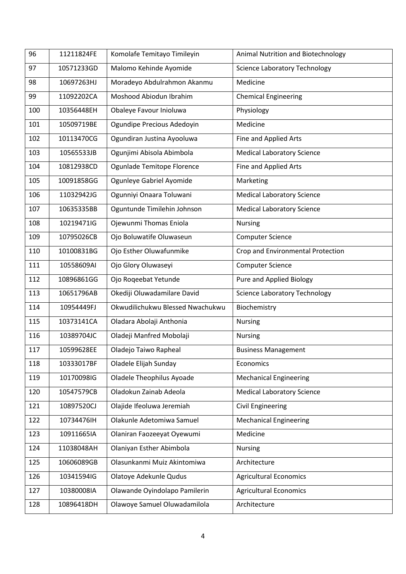| 96  | 11211824FE | Komolafe Temitayo Timileyin      | Animal Nutrition and Biotechnology   |
|-----|------------|----------------------------------|--------------------------------------|
| 97  | 10571233GD | Malomo Kehinde Ayomide           | <b>Science Laboratory Technology</b> |
| 98  | 10697263HJ | Moradeyo Abdulrahmon Akanmu      | Medicine                             |
| 99  | 11092202CA | Moshood Abiodun Ibrahim          | <b>Chemical Engineering</b>          |
| 100 | 10356448EH | Obaleye Favour Inioluwa          | Physiology                           |
| 101 | 10509719BE | Ogundipe Precious Adedoyin       | Medicine                             |
| 102 | 10113470CG | Ogundiran Justina Ayooluwa       | Fine and Applied Arts                |
| 103 | 10565533JB | Ogunjimi Abisola Abimbola        | <b>Medical Laboratory Science</b>    |
| 104 | 10812938CD | Ogunlade Temitope Florence       | Fine and Applied Arts                |
| 105 | 10091858GG | Ogunleye Gabriel Ayomide         | Marketing                            |
| 106 | 11032942JG | Ogunniyi Onaara Toluwani         | <b>Medical Laboratory Science</b>    |
| 107 | 10635335BB | Oguntunde Timilehin Johnson      | <b>Medical Laboratory Science</b>    |
| 108 | 10219471IG | Ojewunmi Thomas Eniola           | <b>Nursing</b>                       |
| 109 | 10795026CB | Ojo Boluwatife Oluwaseun         | <b>Computer Science</b>              |
| 110 | 10100831BG | Ojo Esther Oluwafunmike          | Crop and Environmental Protection    |
| 111 | 10558609AI | Ojo Glory Oluwaseyi              | Computer Science                     |
| 112 | 10896861GG | Ojo Roqeebat Yetunde             | <b>Pure and Applied Biology</b>      |
| 113 | 10651796AB | Okediji Oluwadamilare David      | <b>Science Laboratory Technology</b> |
| 114 | 10954449FJ | Okwudilichukwu Blessed Nwachukwu | Biochemistry                         |
| 115 | 10373141CA | Oladara Abolaji Anthonia         | <b>Nursing</b>                       |
| 116 | 10389704JC | Oladeji Manfred Mobolaji         | <b>Nursing</b>                       |
| 117 | 10599628EE | Oladejo Taiwo Rapheal            | <b>Business Management</b>           |
| 118 | 10333017BF | Oladele Elijah Sunday            | Economics                            |
| 119 | 10170098IG | <b>Oladele Theophilus Ayoade</b> | <b>Mechanical Engineering</b>        |
| 120 | 10547579CB | Oladokun Zainab Adeola           | <b>Medical Laboratory Science</b>    |
| 121 | 10897520CJ | Olajide Ifeoluwa Jeremiah        | <b>Civil Engineering</b>             |
| 122 | 10734476IH | Olakunle Adetomiwa Samuel        | <b>Mechanical Engineering</b>        |
| 123 | 10911665IA | Olaniran Faozeeyat Oyewumi       | Medicine                             |
| 124 | 11038048AH | Olaniyan Esther Abimbola         | <b>Nursing</b>                       |
| 125 | 10606089GB | Olasunkanmi Muiz Akintomiwa      | Architecture                         |
| 126 | 10341594IG | Olatoye Adekunle Qudus           | <b>Agricultural Economics</b>        |
| 127 | 10380008IA | Olawande Oyindolapo Pamilerin    | <b>Agricultural Economics</b>        |
| 128 | 10896418DH | Olawoye Samuel Oluwadamilola     | Architecture                         |